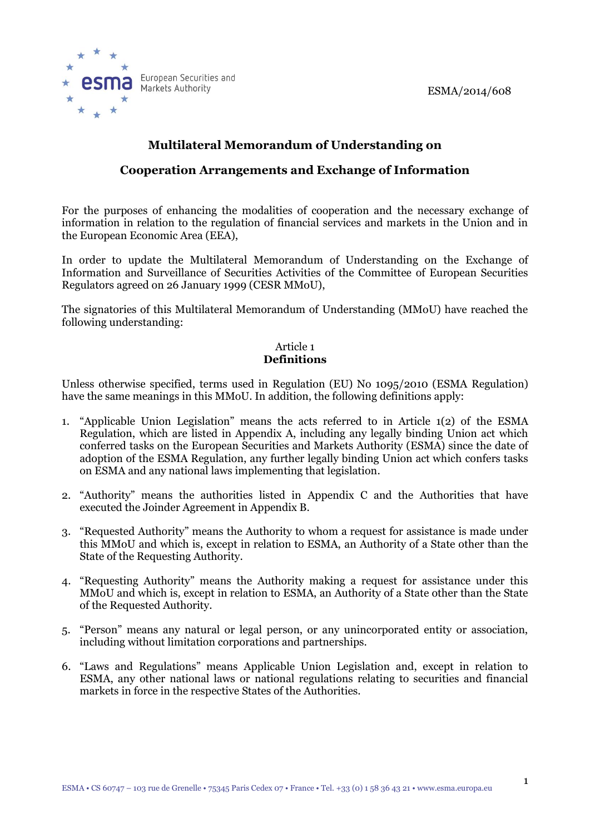

# **Multilateral Memorandum of Understanding on**

## **Cooperation Arrangements and Exchange of Information**

For the purposes of enhancing the modalities of cooperation and the necessary exchange of information in relation to the regulation of financial services and markets in the Union and in the European Economic Area (EEA),

In order to update the Multilateral Memorandum of Understanding on the Exchange of Information and Surveillance of Securities Activities of the Committee of European Securities Regulators agreed on 26 January 1999 (CESR MMoU),

The signatories of this Multilateral Memorandum of Understanding (MMoU) have reached the following understanding:

### Article 1 **Definitions**

Unless otherwise specified, terms used in Regulation (EU) No 1095/2010 (ESMA Regulation) have the same meanings in this MMoU. In addition, the following definitions apply:

- 1. "Applicable Union Legislation" means the acts referred to in Article 1(2) of the ESMA Regulation, which are listed in Appendix A, including any legally binding Union act which conferred tasks on the European Securities and Markets Authority (ESMA) since the date of adoption of the ESMA Regulation, any further legally binding Union act which confers tasks on ESMA and any national laws implementing that legislation.
- 2. "Authority" means the authorities listed in Appendix C and the Authorities that have executed the Joinder Agreement in Appendix B.
- 3. "Requested Authority" means the Authority to whom a request for assistance is made under this MMoU and which is, except in relation to ESMA, an Authority of a State other than the State of the Requesting Authority.
- 4. "Requesting Authority" means the Authority making a request for assistance under this MMoU and which is, except in relation to ESMA, an Authority of a State other than the State of the Requested Authority.
- 5. "Person" means any natural or legal person, or any unincorporated entity or association, including without limitation corporations and partnerships.
- 6. "Laws and Regulations" means Applicable Union Legislation and, except in relation to ESMA, any other national laws or national regulations relating to securities and financial markets in force in the respective States of the Authorities.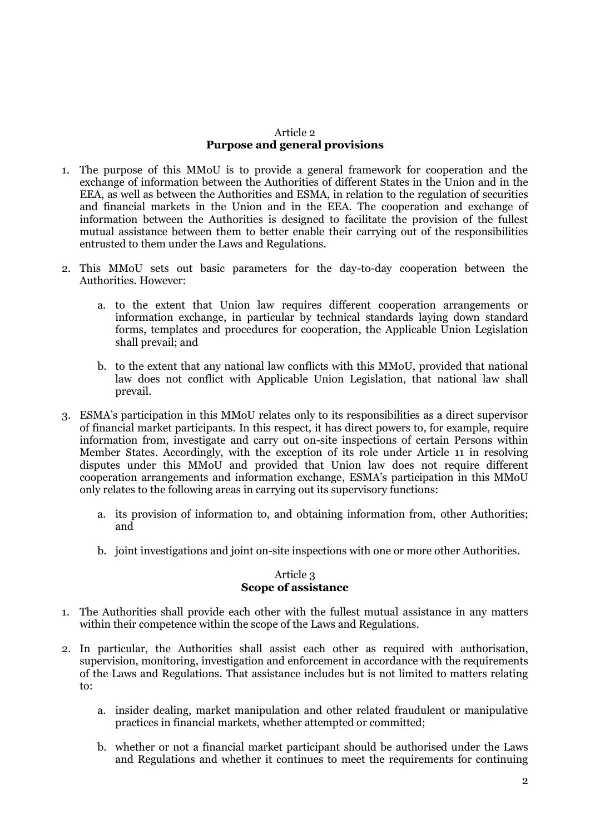#### Article 2 **Purpose and general provisions**

- 1. The purpose of this MMoU is to provide a general framework for cooperation and the exchange of information between the Authorities of different States in the Union and in the EEA, as well as between the Authorities and ESMA, in relation to the regulation of securities and financial markets in the Union and in the EEA. The cooperation and exchange of information between the Authorities is designed to facilitate the provision of the fullest mutual assistance between them to better enable their carrying out of the responsibilities entrusted to them under the Laws and Regulations.
- 2. This MMoU sets out basic parameters for the day-to-day cooperation between the Authorities. However:
	- a. to the extent that Union law requires different cooperation arrangements or information exchange, in particular by technical standards laying down standard forms, templates and procedures for cooperation, the Applicable Union Legislation shall prevail; and
	- b. to the extent that any national law conflicts with this MMoU, provided that national law does not conflict with Applicable Union Legislation, that national law shall prevail.
- 3. ESMA's participation in this MMoU relates only to its responsibilities as a direct supervisor of financial market participants. In this respect, it has direct powers to, for example, require information from, investigate and carry out on-site inspections of certain Persons within Member States. Accordingly, with the exception of its role under Article 11 in resolving disputes under this MMoU and provided that Union law does not require different cooperation arrangements and information exchange, ESMA's participation in this MMoU only relates to the following areas in carrying out its supervisory functions:
	- a. its provision of information to, and obtaining information from, other Authorities; and
	- b. joint investigations and joint on-site inspections with one or more other Authorities.

### Article 3 **Scope of assistance**

- 1. The Authorities shall provide each other with the fullest mutual assistance in any matters within their competence within the scope of the Laws and Regulations.
- 2. In particular, the Authorities shall assist each other as required with authorisation, supervision, monitoring, investigation and enforcement in accordance with the requirements of the Laws and Regulations. That assistance includes but is not limited to matters relating to:
	- a. insider dealing, market manipulation and other related fraudulent or manipulative practices in financial markets, whether attempted or committed;
	- b. whether or not a financial market participant should be authorised under the Laws and Regulations and whether it continues to meet the requirements for continuing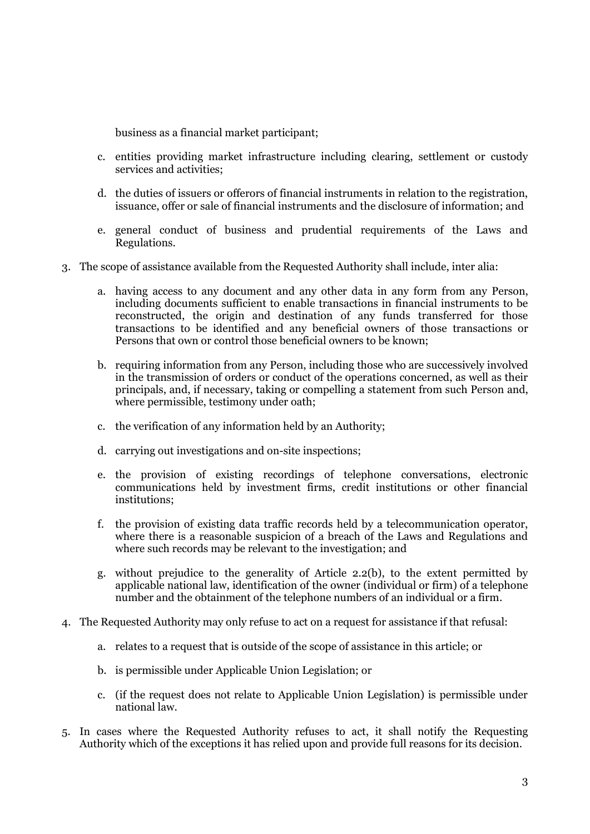business as a financial market participant;

- c. entities providing market infrastructure including clearing, settlement or custody services and activities;
- d. the duties of issuers or offerors of financial instruments in relation to the registration, issuance, offer or sale of financial instruments and the disclosure of information; and
- e. general conduct of business and prudential requirements of the Laws and Regulations.
- 3. The scope of assistance available from the Requested Authority shall include, inter alia:
	- a. having access to any document and any other data in any form from any Person, including documents sufficient to enable transactions in financial instruments to be reconstructed, the origin and destination of any funds transferred for those transactions to be identified and any beneficial owners of those transactions or Persons that own or control those beneficial owners to be known;
	- b. requiring information from any Person, including those who are successively involved in the transmission of orders or conduct of the operations concerned, as well as their principals, and, if necessary, taking or compelling a statement from such Person and, where permissible, testimony under oath;
	- c. the verification of any information held by an Authority;
	- d. carrying out investigations and on-site inspections;
	- e. the provision of existing recordings of telephone conversations, electronic communications held by investment firms, credit institutions or other financial institutions;
	- f. the provision of existing data traffic records held by a telecommunication operator, where there is a reasonable suspicion of a breach of the Laws and Regulations and where such records may be relevant to the investigation; and
	- g. without prejudice to the generality of Article 2.2(b), to the extent permitted by applicable national law, identification of the owner (individual or firm) of a telephone number and the obtainment of the telephone numbers of an individual or a firm.
- 4. The Requested Authority may only refuse to act on a request for assistance if that refusal:
	- a. relates to a request that is outside of the scope of assistance in this article; or
	- b. is permissible under Applicable Union Legislation; or
	- c. (if the request does not relate to Applicable Union Legislation) is permissible under national law.
- 5. In cases where the Requested Authority refuses to act, it shall notify the Requesting Authority which of the exceptions it has relied upon and provide full reasons for its decision.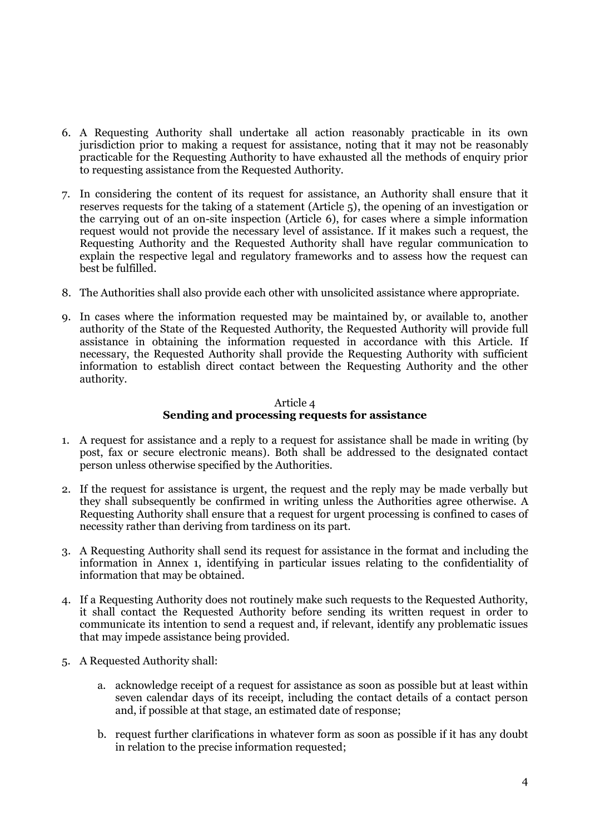- 6. A Requesting Authority shall undertake all action reasonably practicable in its own jurisdiction prior to making a request for assistance, noting that it may not be reasonably practicable for the Requesting Authority to have exhausted all the methods of enquiry prior to requesting assistance from the Requested Authority.
- 7. In considering the content of its request for assistance, an Authority shall ensure that it reserves requests for the taking of a statement (Article 5), the opening of an investigation or the carrying out of an on-site inspection (Article 6), for cases where a simple information request would not provide the necessary level of assistance. If it makes such a request, the Requesting Authority and the Requested Authority shall have regular communication to explain the respective legal and regulatory frameworks and to assess how the request can best be fulfilled.
- 8. The Authorities shall also provide each other with unsolicited assistance where appropriate.
- 9. In cases where the information requested may be maintained by, or available to, another authority of the State of the Requested Authority, the Requested Authority will provide full assistance in obtaining the information requested in accordance with this Article. If necessary, the Requested Authority shall provide the Requesting Authority with sufficient information to establish direct contact between the Requesting Authority and the other authority.

#### Article 4 **Sending and processing requests for assistance**

- 1. A request for assistance and a reply to a request for assistance shall be made in writing (by post, fax or secure electronic means). Both shall be addressed to the designated contact person unless otherwise specified by the Authorities.
- 2. If the request for assistance is urgent, the request and the reply may be made verbally but they shall subsequently be confirmed in writing unless the Authorities agree otherwise. A Requesting Authority shall ensure that a request for urgent processing is confined to cases of necessity rather than deriving from tardiness on its part.
- 3. A Requesting Authority shall send its request for assistance in the format and including the information in Annex 1, identifying in particular issues relating to the confidentiality of information that may be obtained.
- 4. If a Requesting Authority does not routinely make such requests to the Requested Authority, it shall contact the Requested Authority before sending its written request in order to communicate its intention to send a request and, if relevant, identify any problematic issues that may impede assistance being provided.
- 5. A Requested Authority shall:
	- a. acknowledge receipt of a request for assistance as soon as possible but at least within seven calendar days of its receipt, including the contact details of a contact person and, if possible at that stage, an estimated date of response;
	- b. request further clarifications in whatever form as soon as possible if it has any doubt in relation to the precise information requested;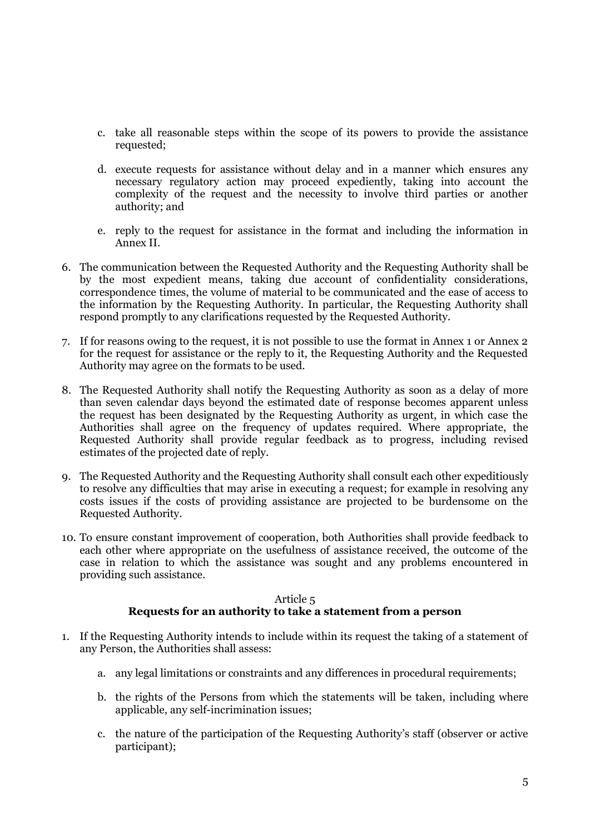- c. take all reasonable steps within the scope of its powers to provide the assistance requested;
- d. execute requests for assistance without delay and in a manner which ensures any necessary regulatory action may proceed expediently, taking into account the complexity of the request and the necessity to involve third parties or another authority; and
- e. reply to the request for assistance in the format and including the information in Annex II.
- 6. The communication between the Requested Authority and the Requesting Authority shall be by the most expedient means, taking due account of confidentiality considerations, correspondence times, the volume of material to be communicated and the ease of access to the information by the Requesting Authority. In particular, the Requesting Authority shall respond promptly to any clarifications requested by the Requested Authority.
- 7. If for reasons owing to the request, it is not possible to use the format in Annex 1 or Annex 2 for the request for assistance or the reply to it, the Requesting Authority and the Requested Authority may agree on the formats to be used.
- 8. The Requested Authority shall notify the Requesting Authority as soon as a delay of more than seven calendar days beyond the estimated date of response becomes apparent unless the request has been designated by the Requesting Authority as urgent, in which case the Authorities shall agree on the frequency of updates required. Where appropriate, the Requested Authority shall provide regular feedback as to progress, including revised estimates of the projected date of reply.
- 9. The Requested Authority and the Requesting Authority shall consult each other expeditiously to resolve any difficulties that may arise in executing a request; for example in resolving any costs issues if the costs of providing assistance are projected to be burdensome on the Requested Authority.
- 10. To ensure constant improvement of cooperation, both Authorities shall provide feedback to each other where appropriate on the usefulness of assistance received, the outcome of the case in relation to which the assistance was sought and any problems encountered in providing such assistance.

#### Article 5

## **Requests for an authority to take a statement from a person**

- 1. If the Requesting Authority intends to include within its request the taking of a statement of any Person, the Authorities shall assess:
	- a. any legal limitations or constraints and any differences in procedural requirements;
	- b. the rights of the Persons from which the statements will be taken, including where applicable, any self-incrimination issues;
	- c. the nature of the participation of the Requesting Authority's staff (observer or active participant);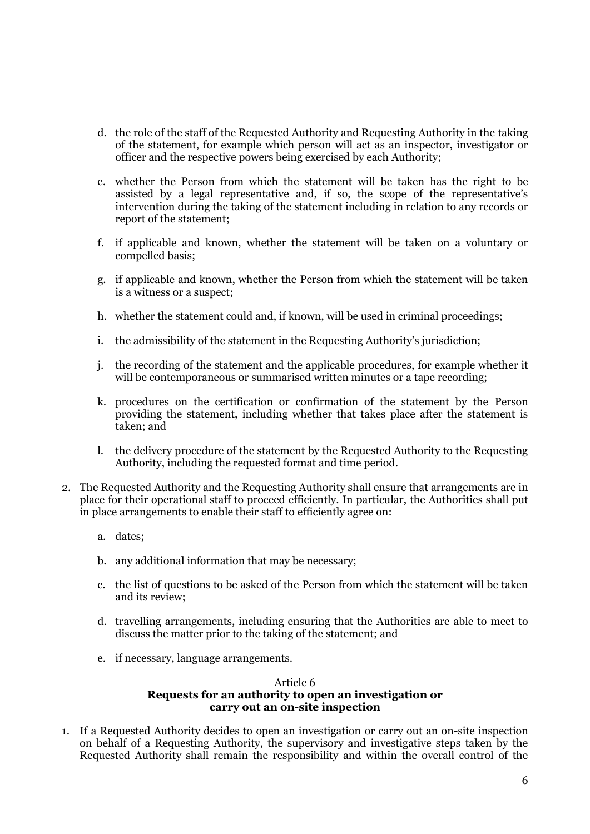- d. the role of the staff of the Requested Authority and Requesting Authority in the taking of the statement, for example which person will act as an inspector, investigator or officer and the respective powers being exercised by each Authority;
- e. whether the Person from which the statement will be taken has the right to be assisted by a legal representative and, if so, the scope of the representative's intervention during the taking of the statement including in relation to any records or report of the statement;
- f. if applicable and known, whether the statement will be taken on a voluntary or compelled basis;
- g. if applicable and known, whether the Person from which the statement will be taken is a witness or a suspect;
- h. whether the statement could and, if known, will be used in criminal proceedings;
- i. the admissibility of the statement in the Requesting Authority's jurisdiction;
- j. the recording of the statement and the applicable procedures, for example whether it will be contemporaneous or summarised written minutes or a tape recording;
- k. procedures on the certification or confirmation of the statement by the Person providing the statement, including whether that takes place after the statement is taken; and
- l. the delivery procedure of the statement by the Requested Authority to the Requesting Authority, including the requested format and time period.
- 2. The Requested Authority and the Requesting Authority shall ensure that arrangements are in place for their operational staff to proceed efficiently. In particular, the Authorities shall put in place arrangements to enable their staff to efficiently agree on:
	- a. dates;
	- b. any additional information that may be necessary;
	- c. the list of questions to be asked of the Person from which the statement will be taken and its review;
	- d. travelling arrangements, including ensuring that the Authorities are able to meet to discuss the matter prior to the taking of the statement; and
	- e. if necessary, language arrangements.

#### Article 6 **Requests for an authority to open an investigation or carry out an on-site inspection**

1. If a Requested Authority decides to open an investigation or carry out an on-site inspection on behalf of a Requesting Authority, the supervisory and investigative steps taken by the Requested Authority shall remain the responsibility and within the overall control of the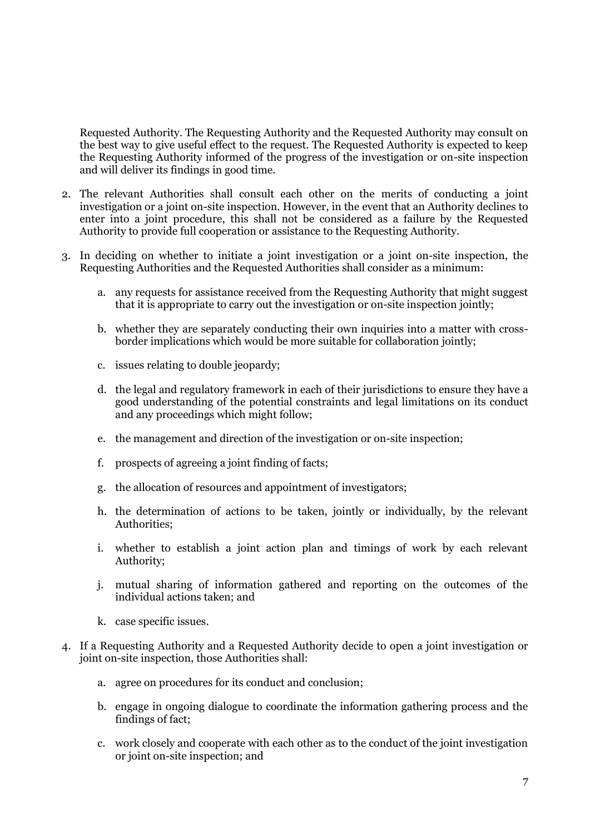Requested Authority. The Requesting Authority and the Requested Authority may consult on the best way to give useful effect to the request. The Requested Authority is expected to keep the Requesting Authority informed of the progress of the investigation or on-site inspection and will deliver its findings in good time.

- 2. The relevant Authorities shall consult each other on the merits of conducting a joint investigation or a joint on-site inspection. However, in the event that an Authority declines to enter into a joint procedure, this shall not be considered as a failure by the Requested Authority to provide full cooperation or assistance to the Requesting Authority.
- 3. In deciding on whether to initiate a joint investigation or a joint on-site inspection, the Requesting Authorities and the Requested Authorities shall consider as a minimum:
	- a. any requests for assistance received from the Requesting Authority that might suggest that it is appropriate to carry out the investigation or on-site inspection jointly;
	- b. whether they are separately conducting their own inquiries into a matter with crossborder implications which would be more suitable for collaboration jointly;
	- c. issues relating to double jeopardy;
	- d. the legal and regulatory framework in each of their jurisdictions to ensure they have a good understanding of the potential constraints and legal limitations on its conduct and any proceedings which might follow;
	- e. the management and direction of the investigation or on-site inspection;
	- f. prospects of agreeing a joint finding of facts;
	- g. the allocation of resources and appointment of investigators;
	- h. the determination of actions to be taken, jointly or individually, by the relevant Authorities;
	- i. whether to establish a joint action plan and timings of work by each relevant Authority;
	- j. mutual sharing of information gathered and reporting on the outcomes of the individual actions taken; and
	- k. case specific issues.
- 4. If a Requesting Authority and a Requested Authority decide to open a joint investigation or joint on-site inspection, those Authorities shall:
	- a. agree on procedures for its conduct and conclusion;
	- b. engage in ongoing dialogue to coordinate the information gathering process and the findings of fact;
	- c. work closely and cooperate with each other as to the conduct of the joint investigation or joint on-site inspection; and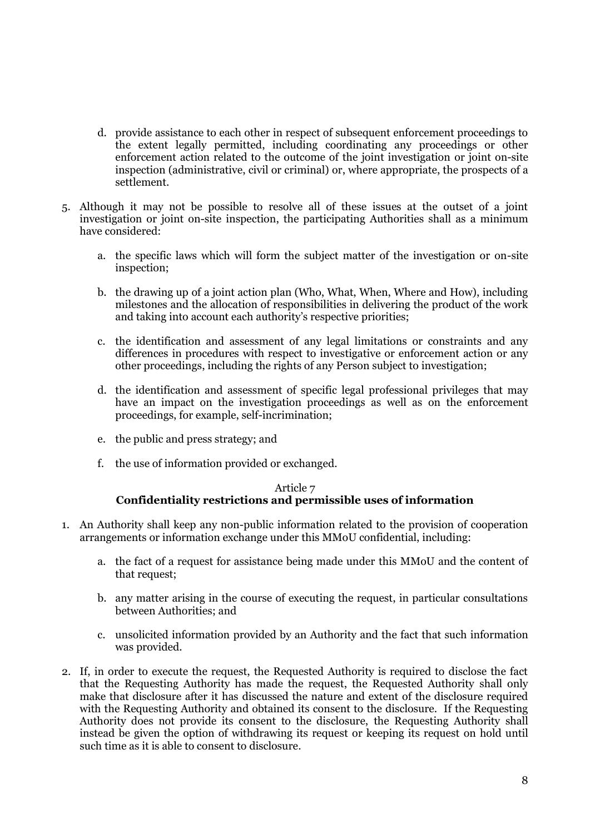- d. provide assistance to each other in respect of subsequent enforcement proceedings to the extent legally permitted, including coordinating any proceedings or other enforcement action related to the outcome of the joint investigation or joint on-site inspection (administrative, civil or criminal) or, where appropriate, the prospects of a settlement.
- 5. Although it may not be possible to resolve all of these issues at the outset of a joint investigation or joint on-site inspection, the participating Authorities shall as a minimum have considered:
	- a. the specific laws which will form the subject matter of the investigation or on-site inspection;
	- b. the drawing up of a joint action plan (Who, What, When, Where and How), including milestones and the allocation of responsibilities in delivering the product of the work and taking into account each authority's respective priorities;
	- c. the identification and assessment of any legal limitations or constraints and any differences in procedures with respect to investigative or enforcement action or any other proceedings, including the rights of any Person subject to investigation;
	- d. the identification and assessment of specific legal professional privileges that may have an impact on the investigation proceedings as well as on the enforcement proceedings, for example, self-incrimination;
	- e. the public and press strategy; and
	- f. the use of information provided or exchanged.

### Article 7 **Confidentiality restrictions and permissible uses of information**

- 1. An Authority shall keep any non-public information related to the provision of cooperation arrangements or information exchange under this MMoU confidential, including:
	- a. the fact of a request for assistance being made under this MMoU and the content of that request;
	- b. any matter arising in the course of executing the request, in particular consultations between Authorities; and
	- c. unsolicited information provided by an Authority and the fact that such information was provided.
- 2. If, in order to execute the request, the Requested Authority is required to disclose the fact that the Requesting Authority has made the request, the Requested Authority shall only make that disclosure after it has discussed the nature and extent of the disclosure required with the Requesting Authority and obtained its consent to the disclosure. If the Requesting Authority does not provide its consent to the disclosure, the Requesting Authority shall instead be given the option of withdrawing its request or keeping its request on hold until such time as it is able to consent to disclosure.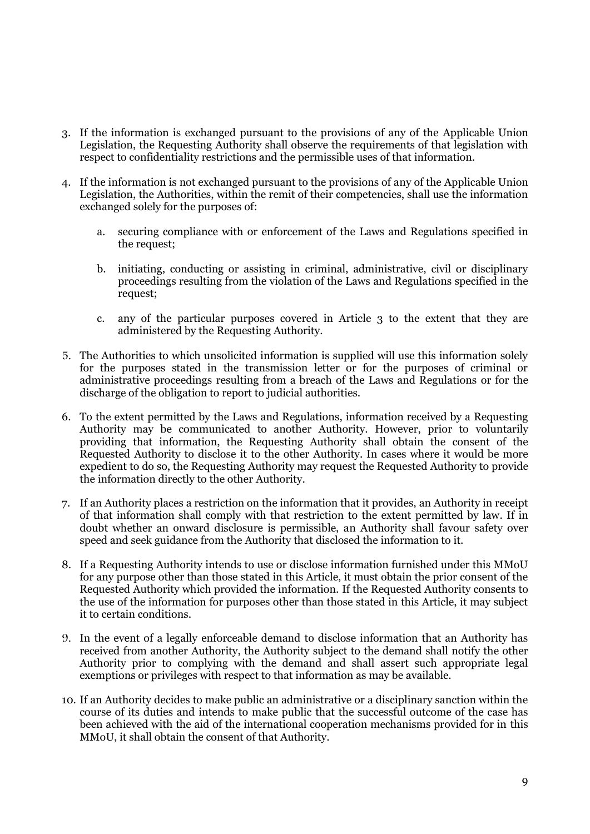- 3. If the information is exchanged pursuant to the provisions of any of the Applicable Union Legislation, the Requesting Authority shall observe the requirements of that legislation with respect to confidentiality restrictions and the permissible uses of that information.
- 4. If the information is not exchanged pursuant to the provisions of any of the Applicable Union Legislation, the Authorities, within the remit of their competencies, shall use the information exchanged solely for the purposes of:
	- a. securing compliance with or enforcement of the Laws and Regulations specified in the request;
	- b. initiating, conducting or assisting in criminal, administrative, civil or disciplinary proceedings resulting from the violation of the Laws and Regulations specified in the request;
	- c. any of the particular purposes covered in Article 3 to the extent that they are administered by the Requesting Authority.
- 5. The Authorities to which unsolicited information is supplied will use this information solely for the purposes stated in the transmission letter or for the purposes of criminal or administrative proceedings resulting from a breach of the Laws and Regulations or for the discharge of the obligation to report to judicial authorities.
- 6. To the extent permitted by the Laws and Regulations, information received by a Requesting Authority may be communicated to another Authority. However, prior to voluntarily providing that information, the Requesting Authority shall obtain the consent of the Requested Authority to disclose it to the other Authority. In cases where it would be more expedient to do so, the Requesting Authority may request the Requested Authority to provide the information directly to the other Authority.
- 7. If an Authority places a restriction on the information that it provides, an Authority in receipt of that information shall comply with that restriction to the extent permitted by law. If in doubt whether an onward disclosure is permissible, an Authority shall favour safety over speed and seek guidance from the Authority that disclosed the information to it.
- 8. If a Requesting Authority intends to use or disclose information furnished under this MMoU for any purpose other than those stated in this Article, it must obtain the prior consent of the Requested Authority which provided the information. If the Requested Authority consents to the use of the information for purposes other than those stated in this Article, it may subject it to certain conditions.
- 9. In the event of a legally enforceable demand to disclose information that an Authority has received from another Authority, the Authority subject to the demand shall notify the other Authority prior to complying with the demand and shall assert such appropriate legal exemptions or privileges with respect to that information as may be available.
- 10. If an Authority decides to make public an administrative or a disciplinary sanction within the course of its duties and intends to make public that the successful outcome of the case has been achieved with the aid of the international cooperation mechanisms provided for in this MMoU, it shall obtain the consent of that Authority.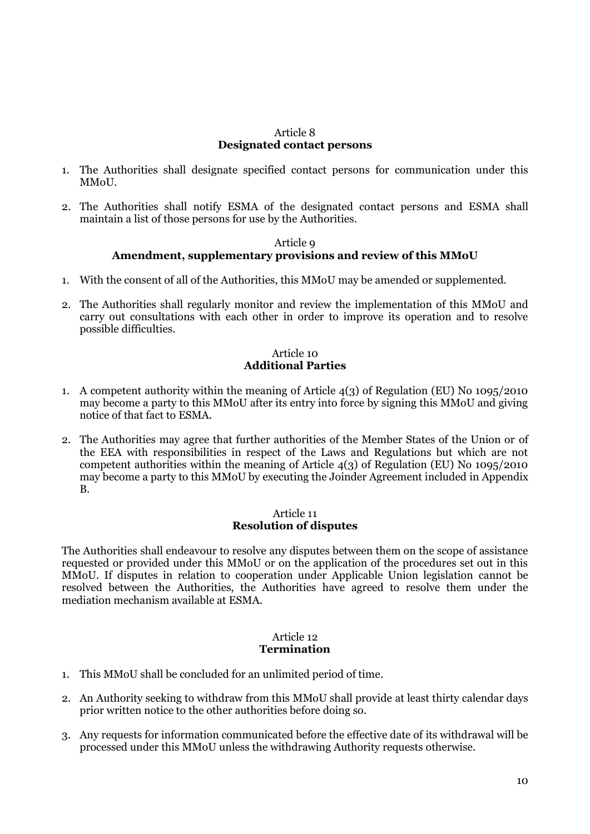#### Article 8 **Designated contact persons**

- 1. The Authorities shall designate specified contact persons for communication under this **MMoU**
- 2. The Authorities shall notify ESMA of the designated contact persons and ESMA shall maintain a list of those persons for use by the Authorities.

#### Article 9 **Amendment, supplementary provisions and review of this MMoU**

- 1. With the consent of all of the Authorities, this MMoU may be amended or supplemented.
- 2. The Authorities shall regularly monitor and review the implementation of this MMoU and carry out consultations with each other in order to improve its operation and to resolve possible difficulties.

### Article 10 **Additional Parties**

- 1. A competent authority within the meaning of Article 4(3) of Regulation (EU) No 1095/2010 may become a party to this MMoU after its entry into force by signing this MMoU and giving notice of that fact to ESMA.
- 2. The Authorities may agree that further authorities of the Member States of the Union or of the EEA with responsibilities in respect of the Laws and Regulations but which are not competent authorities within the meaning of Article 4(3) of Regulation (EU) No 1095/2010 may become a party to this MMoU by executing the Joinder Agreement included in Appendix B.

#### Article 11 **Resolution of disputes**

The Authorities shall endeavour to resolve any disputes between them on the scope of assistance requested or provided under this MMoU or on the application of the procedures set out in this MMoU. If disputes in relation to cooperation under Applicable Union legislation cannot be resolved between the Authorities, the Authorities have agreed to resolve them under the mediation mechanism available at ESMA.

#### Article 12 **Termination**

- 1. This MMoU shall be concluded for an unlimited period of time.
- 2. An Authority seeking to withdraw from this MMoU shall provide at least thirty calendar days prior written notice to the other authorities before doing so.
- 3. Any requests for information communicated before the effective date of its withdrawal will be processed under this MMoU unless the withdrawing Authority requests otherwise.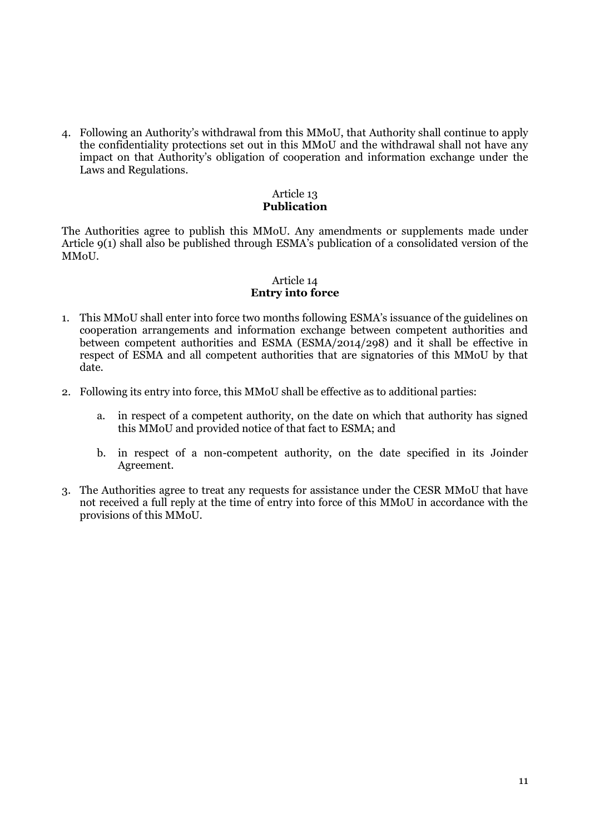4. Following an Authority's withdrawal from this MMoU, that Authority shall continue to apply the confidentiality protections set out in this MMoU and the withdrawal shall not have any impact on that Authority's obligation of cooperation and information exchange under the Laws and Regulations.

### Article 13 **Publication**

The Authorities agree to publish this MMoU. Any amendments or supplements made under Article 9(1) shall also be published through ESMA's publication of a consolidated version of the MMoU.

### Article 14 **Entry into force**

- 1. This MMoU shall enter into force two months following ESMA's issuance of the guidelines on cooperation arrangements and information exchange between competent authorities and between competent authorities and ESMA (ESMA/2014/298) and it shall be effective in respect of ESMA and all competent authorities that are signatories of this MMoU by that date.
- 2. Following its entry into force, this MMoU shall be effective as to additional parties:
	- a. in respect of a competent authority, on the date on which that authority has signed this MMoU and provided notice of that fact to ESMA; and
	- b. in respect of a non-competent authority, on the date specified in its Joinder Agreement.
- 3. The Authorities agree to treat any requests for assistance under the CESR MMoU that have not received a full reply at the time of entry into force of this MMoU in accordance with the provisions of this MMoU.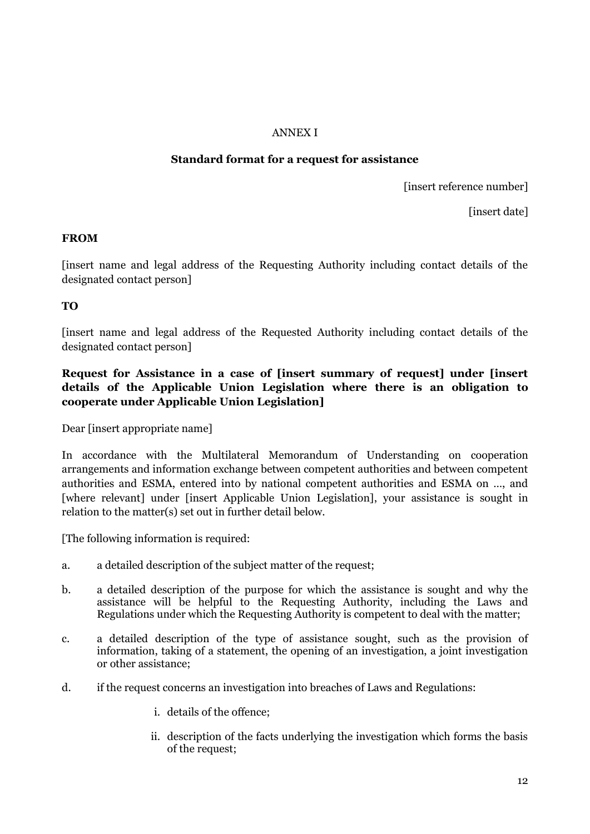### ANNEX I

### **Standard format for a request for assistance**

[insert reference number]

[insert date]

### **FROM**

[insert name and legal address of the Requesting Authority including contact details of the designated contact person]

## **TO**

[insert name and legal address of the Requested Authority including contact details of the designated contact person]

## **Request for Assistance in a case of [insert summary of request] under [insert details of the Applicable Union Legislation where there is an obligation to cooperate under Applicable Union Legislation]**

Dear [insert appropriate name]

In accordance with the Multilateral Memorandum of Understanding on cooperation arrangements and information exchange between competent authorities and between competent authorities and ESMA, entered into by national competent authorities and ESMA on …, and [where relevant] under [insert Applicable Union Legislation], your assistance is sought in relation to the matter(s) set out in further detail below.

[The following information is required:

- a. a detailed description of the subject matter of the request;
- b. a detailed description of the purpose for which the assistance is sought and why the assistance will be helpful to the Requesting Authority, including the Laws and Regulations under which the Requesting Authority is competent to deal with the matter;
- c. a detailed description of the type of assistance sought, such as the provision of information, taking of a statement, the opening of an investigation, a joint investigation or other assistance;
- d. if the request concerns an investigation into breaches of Laws and Regulations:
	- i. details of the offence;
	- ii. description of the facts underlying the investigation which forms the basis of the request;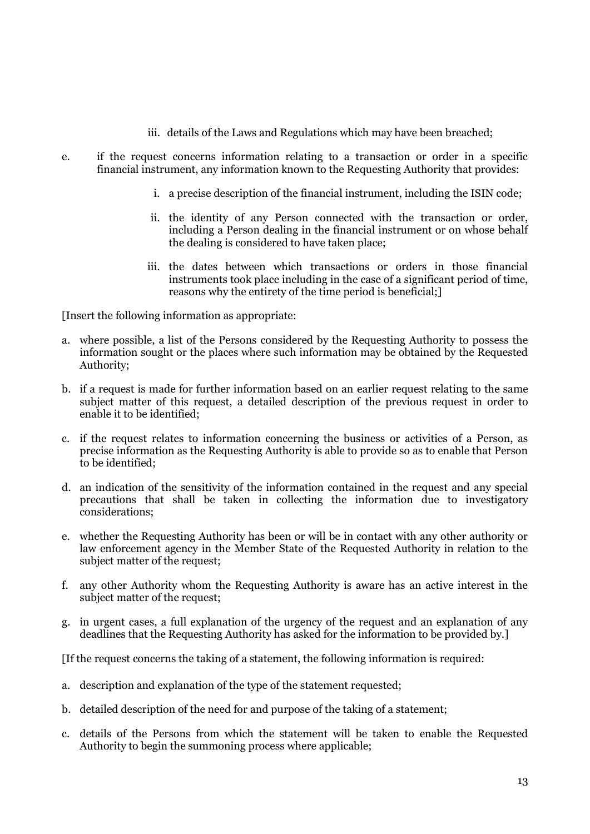- iii. details of the Laws and Regulations which may have been breached;
- e. if the request concerns information relating to a transaction or order in a specific financial instrument, any information known to the Requesting Authority that provides:
	- i. a precise description of the financial instrument, including the ISIN code;
	- ii. the identity of any Person connected with the transaction or order, including a Person dealing in the financial instrument or on whose behalf the dealing is considered to have taken place;
	- iii. the dates between which transactions or orders in those financial instruments took place including in the case of a significant period of time, reasons why the entirety of the time period is beneficial;]

[Insert the following information as appropriate:

- a. where possible, a list of the Persons considered by the Requesting Authority to possess the information sought or the places where such information may be obtained by the Requested Authority;
- b. if a request is made for further information based on an earlier request relating to the same subject matter of this request, a detailed description of the previous request in order to enable it to be identified;
- c. if the request relates to information concerning the business or activities of a Person, as precise information as the Requesting Authority is able to provide so as to enable that Person to be identified;
- d. an indication of the sensitivity of the information contained in the request and any special precautions that shall be taken in collecting the information due to investigatory considerations;
- e. whether the Requesting Authority has been or will be in contact with any other authority or law enforcement agency in the Member State of the Requested Authority in relation to the subject matter of the request;
- f. any other Authority whom the Requesting Authority is aware has an active interest in the subject matter of the request;
- g. in urgent cases, a full explanation of the urgency of the request and an explanation of any deadlines that the Requesting Authority has asked for the information to be provided by.]

[If the request concerns the taking of a statement, the following information is required:

- a. description and explanation of the type of the statement requested;
- b. detailed description of the need for and purpose of the taking of a statement;
- c. details of the Persons from which the statement will be taken to enable the Requested Authority to begin the summoning process where applicable;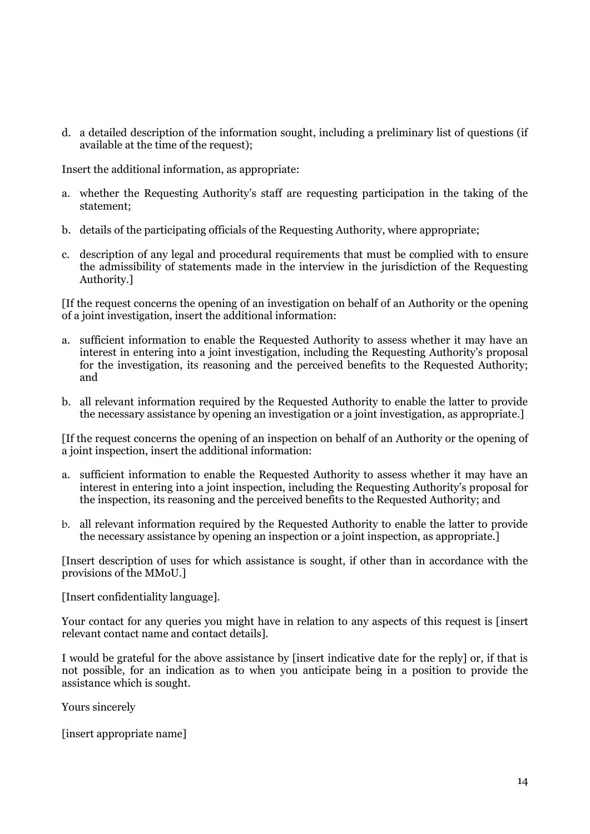d. a detailed description of the information sought, including a preliminary list of questions (if available at the time of the request);

Insert the additional information, as appropriate:

- a. whether the Requesting Authority's staff are requesting participation in the taking of the statement;
- b. details of the participating officials of the Requesting Authority, where appropriate;
- c. description of any legal and procedural requirements that must be complied with to ensure the admissibility of statements made in the interview in the jurisdiction of the Requesting Authority.]

[If the request concerns the opening of an investigation on behalf of an Authority or the opening of a joint investigation, insert the additional information:

- a. sufficient information to enable the Requested Authority to assess whether it may have an interest in entering into a joint investigation, including the Requesting Authority's proposal for the investigation, its reasoning and the perceived benefits to the Requested Authority; and
- b. all relevant information required by the Requested Authority to enable the latter to provide the necessary assistance by opening an investigation or a joint investigation, as appropriate.]

[If the request concerns the opening of an inspection on behalf of an Authority or the opening of a joint inspection, insert the additional information:

- a. sufficient information to enable the Requested Authority to assess whether it may have an interest in entering into a joint inspection, including the Requesting Authority's proposal for the inspection, its reasoning and the perceived benefits to the Requested Authority; and
- b. all relevant information required by the Requested Authority to enable the latter to provide the necessary assistance by opening an inspection or a joint inspection, as appropriate.]

[Insert description of uses for which assistance is sought, if other than in accordance with the provisions of the MMoU.]

[Insert confidentiality language].

Your contact for any queries you might have in relation to any aspects of this request is [insert relevant contact name and contact details].

I would be grateful for the above assistance by [insert indicative date for the reply] or, if that is not possible, for an indication as to when you anticipate being in a position to provide the assistance which is sought.

Yours sincerely

[insert appropriate name]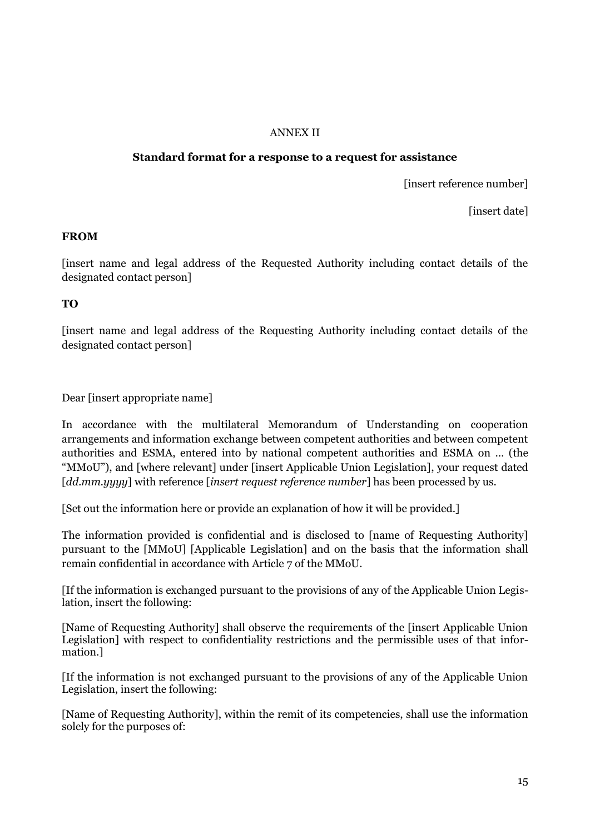### ANNEX II

#### **Standard format for a response to a request for assistance**

[insert reference number]

[insert date]

### **FROM**

[insert name and legal address of the Requested Authority including contact details of the designated contact person]

**TO**

[insert name and legal address of the Requesting Authority including contact details of the designated contact person]

Dear [insert appropriate name]

In accordance with the multilateral Memorandum of Understanding on cooperation arrangements and information exchange between competent authorities and between competent authorities and ESMA, entered into by national competent authorities and ESMA on … (the "MMoU"), and [where relevant] under [insert Applicable Union Legislation], your request dated [*dd.mm.yyyy*] with reference [*insert request reference number*] has been processed by us.

[Set out the information here or provide an explanation of how it will be provided.]

The information provided is confidential and is disclosed to [name of Requesting Authority] pursuant to the [MMoU] [Applicable Legislation] and on the basis that the information shall remain confidential in accordance with Article 7 of the MMoU.

[If the information is exchanged pursuant to the provisions of any of the Applicable Union Legislation, insert the following:

[Name of Requesting Authority] shall observe the requirements of the [insert Applicable Union Legislation] with respect to confidentiality restrictions and the permissible uses of that information.]

[If the information is not exchanged pursuant to the provisions of any of the Applicable Union Legislation, insert the following:

[Name of Requesting Authority], within the remit of its competencies, shall use the information solely for the purposes of: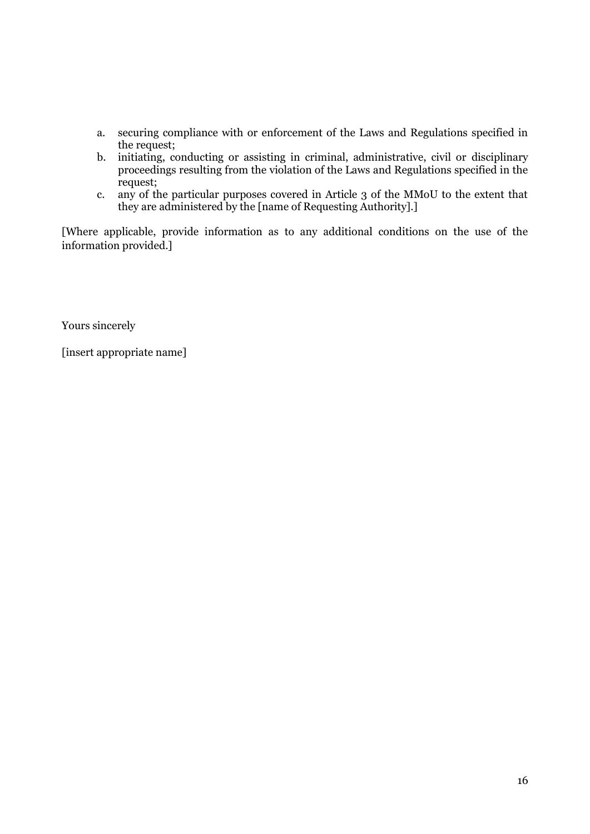- a. securing compliance with or enforcement of the Laws and Regulations specified in the request;
- b. initiating, conducting or assisting in criminal, administrative, civil or disciplinary proceedings resulting from the violation of the Laws and Regulations specified in the request;
- c. any of the particular purposes covered in Article 3 of the MMoU to the extent that they are administered by the [name of Requesting Authority].]

[Where applicable, provide information as to any additional conditions on the use of the information provided.]

Yours sincerely

[insert appropriate name]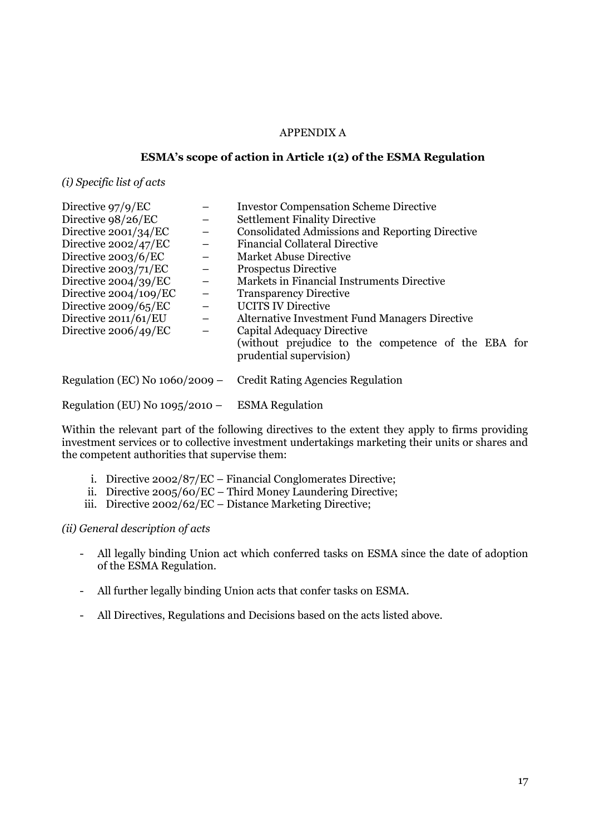#### APPENDIX A

#### **ESMA's scope of action in Article 1(2) of the ESMA Regulation**

*(i) Specific list of acts*

| Directive $97/9/EC$              |                          | <b>Investor Compensation Scheme Directive</b>                                  |
|----------------------------------|--------------------------|--------------------------------------------------------------------------------|
| Directive 98/26/EC               | $\overline{\phantom{m}}$ | <b>Settlement Finality Directive</b>                                           |
| Directive $2001/34/EC$           | $\qquad \qquad -$        | <b>Consolidated Admissions and Reporting Directive</b>                         |
| Directive 2002/47/EC             |                          | <b>Financial Collateral Directive</b>                                          |
| Directive $2003/6/EC$            | $\overline{\phantom{0}}$ | <b>Market Abuse Directive</b>                                                  |
| Directive $2003/71/EC$           | $\overline{\phantom{m}}$ | <b>Prospectus Directive</b>                                                    |
| Directive $2004/39/EC$           | $\qquad \qquad -$        | Markets in Financial Instruments Directive                                     |
| Directive 2004/109/EC            | $\overline{\phantom{m}}$ | <b>Transparency Directive</b>                                                  |
| Directive $2009/65/EC$           | $\overline{\phantom{m}}$ | <b>UCITS IV Directive</b>                                                      |
| Directive 2011/61/EU             | $\overline{\phantom{0}}$ | <b>Alternative Investment Fund Managers Directive</b>                          |
| Directive $2006/49/EC$           | $\overline{\phantom{m}}$ | Capital Adequacy Directive                                                     |
|                                  |                          | (without prejudice to the competence of the EBA for<br>prudential supervision) |
| Regulation (EC) No $1060/2009$ – |                          | <b>Credit Rating Agencies Regulation</b>                                       |
| Regulation (EU) No $1095/2010$ – |                          | <b>ESMA</b> Regulation                                                         |

Within the relevant part of the following directives to the extent they apply to firms providing investment services or to collective investment undertakings marketing their units or shares and the competent authorities that supervise them:

- i. Directive 2002/87/EC Financial Conglomerates Directive;
- ii. Directive 2005/60/EC Third Money Laundering Directive;
- iii. Directive 2002/62/EC Distance Marketing Directive;

*(ii) General description of acts*

- All legally binding Union act which conferred tasks on ESMA since the date of adoption of the ESMA Regulation.
- All further legally binding Union acts that confer tasks on ESMA.
- All Directives, Regulations and Decisions based on the acts listed above.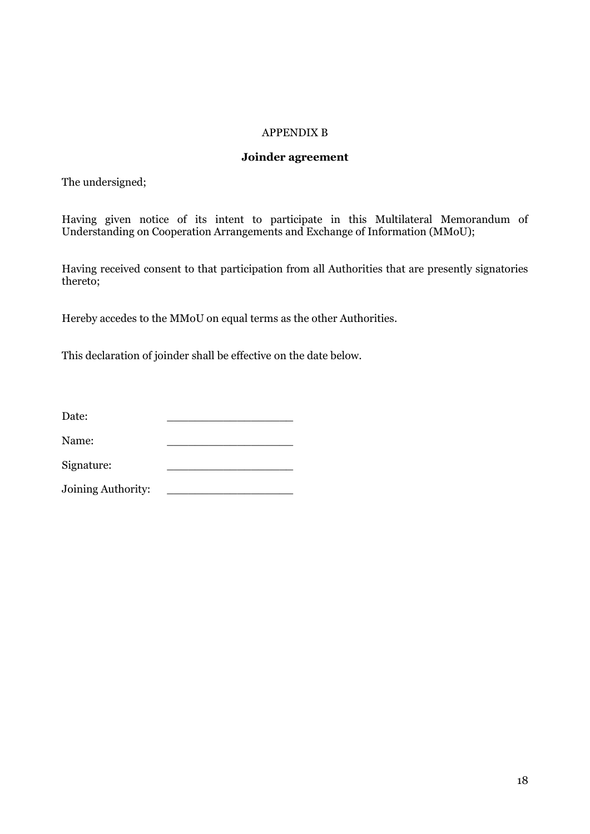### APPENDIX B

#### **Joinder agreement**

The undersigned;

Having given notice of its intent to participate in this Multilateral Memorandum of Understanding on Cooperation Arrangements and Exchange of Information (MMoU);

Having received consent to that participation from all Authorities that are presently signatories thereto;

Hereby accedes to the MMoU on equal terms as the other Authorities.

This declaration of joinder shall be effective on the date below.

| Date: |  |  |
|-------|--|--|
|       |  |  |

Name:

Signature:

Joining Authority: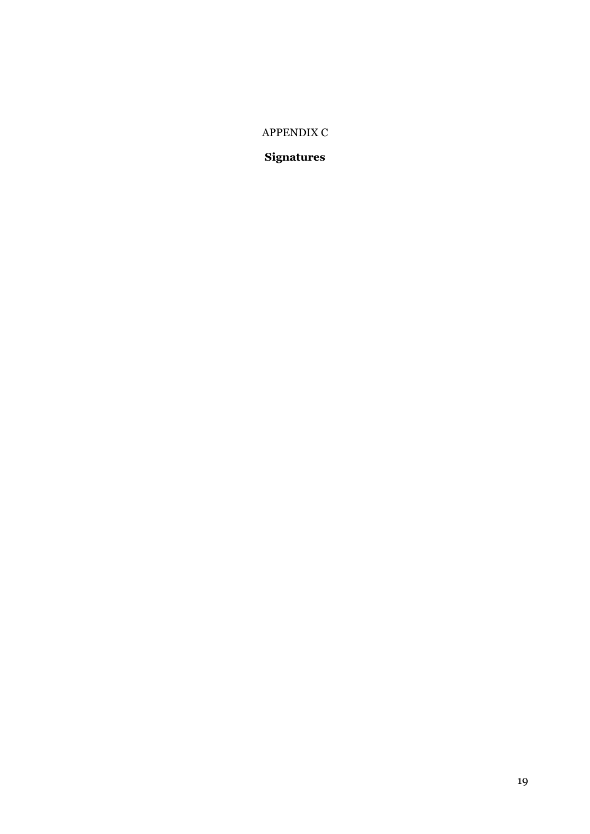## APPENDIX C

# **Signatures**